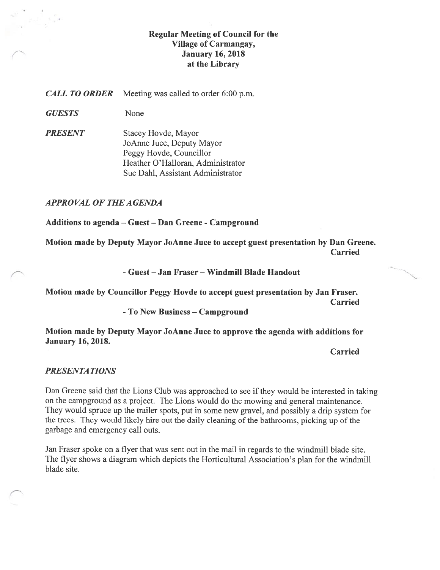## Regular Meeting of Council for the Village of Carmangay, **January 16, 2018** at the Library

**CALL TO ORDER** Meeting was called to order 6:00 p.m.

GUESTS None

**PRESENT** Stacey Hovde, Mayor JoArme Juce, Deputy Mayor Peggy Hovde, Councillor Heather O'Halloran, Administrator Sue Dahi, Assistant Administrator

APPROVAL OF THE AGENDA

Additions to agenda — Guest — Dan Greene -Campground

Motion made by Deputy Mayor JoAnne Juce to accept guest presentation by Dan Greene. Carried

-Guest — Jan Fraser — Windmill Blade Handout

Motion made by Councillor Peggy Hovde to accept guest presentation by Jan Fraser. Carried

-To New Business — Campground

Motion made by Deputy Mayor JoAnne Juce to approve the agenda with additions for January 16, 2018.

Carried

### PRESENTATIONS

Dan Greene said that the Lions Club was approached to see if they would be interested in taking on the campground as a project. The Lions would do the mowing and general maintenance. They would spruce up the trailer spots, put in some new gravel, and possibly a drip system for the trees. They would likely hire out the daily cleaning of the bathrooms, picking up of the garbage and emergency call outs.

Jan fraser spoke on a flyer that was sent out in the mail in regards to the windmill blade site. The flyer shows a diagram which depicts the Horticultural Association's plan for the windmill blade site.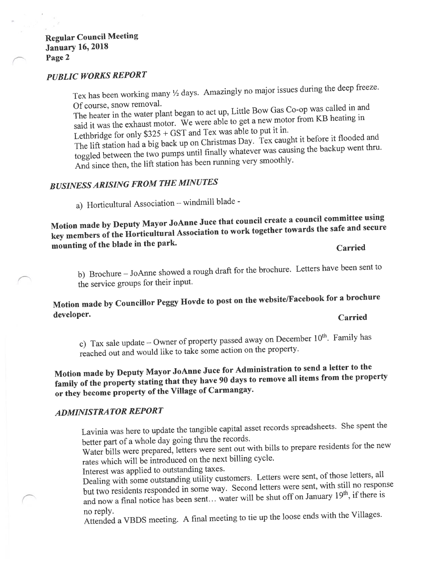# PUBLIC WORKS REPORT

Tex has been working many  $\frac{1}{2}$  days. Amazingly no major issues during the deep freeze. Of course, snow removal.

The heater in the water <sup>p</sup>lant began to act up, Little Bow Gas Co-op was called in and said it was the exhaust motor. We were able to ge<sup>t</sup> <sup>a</sup> new motor from KB heating in Lethbridge for only  $$325 + GST$  and Tex was able to put it in.

The lift station had <sup>a</sup> big back up on Christmas Day. Tex caught it before it flooded and toggled between the two pumps until finally whatever was causing the backup went thru. And since then, the lift station has been running very smoothly.

# BUSINESSARISING FROM THE MINUTES

a) Horticultural Association — windmill blade -

Motion made by Deputy Mayor JoAnne Juce that council create <sup>a</sup> council committee using key members of the Horticultural Association to work together towards the safe and secure mounting of the blade in the park.

Carried

b) Brochure — JoAnne showed <sup>a</sup> roug<sup>h</sup> draft for the brochure. Letters have been sent to the service groups for their input.

# Motion made by Councillor Peggy Hovde to pos<sup>t</sup> on the website/Facebook for <sup>a</sup> brochure developer.

### Carried

c) Tax sale update – Owner of property passed away on December  $10^{th}$ . Family has reached out and would like to take some action on the property.

# Motion made by Deputy Mayor JoAnne Juce for Administration to send <sup>a</sup> letter to the family of the property stating that they have <sup>90</sup> days to remove all items from the property or they become property of the Village of Carmangay.

## ADMINISTRATOR REPORT

Lavinia was here to update the tangible capital asset records spreadsheets. She spen<sup>t</sup> the better part of <sup>a</sup> whole day going thru the records.

Water bills were prepared, letters were sent out with bills to prepare residents for the new rates which will be introduced on the next billing cycle.

Interest was applied to outstanding taxes.

Dealing with some outstanding utility customers. Letters were sent, of those letters, all but two residents responded in some way. Second letters were sent, with still no response and now a final notice has been sent... water will be shut off on January  $19<sup>th</sup>$ , if there is no reply.

Attended <sup>a</sup> VBDS meeting. <sup>A</sup> final meeting to tie up the loose ends with the Villages.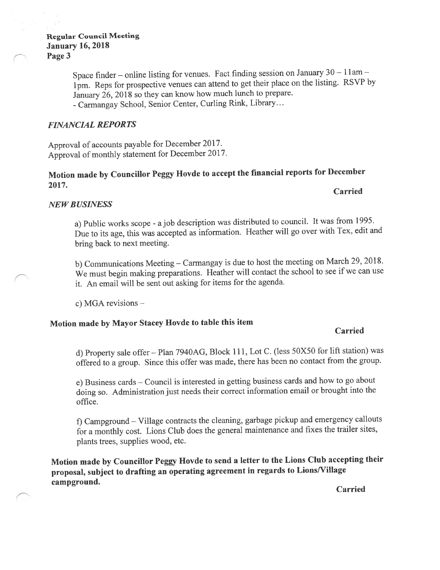Space finder – online listing for venues. Fact finding session on January  $30 - 11$ am – 1pm. Reps for prospective venues can attend to ge<sup>t</sup> their <sup>p</sup>lace on the listing. RSVP by January 26, <sup>2018</sup> so they can know how much lunch to prepare. -Carmangay School, Senior Center, Curling Rink, Library...

# FINANCIAL REPORTS

Approval of accounts payable for December 2017. Approval of monthly statement for December 2017.

### Motion made by Councillor Peggy Hovde to accept the financial reports for December 2017. Carried

# NEWBUSINESS

a) Public works scope - ajob description was distributed to council. It was from 1995. Due to its age, this was accepted as information. Heather will go over with Tex, edit and bring back to next meeting.

b) Communications Meeting — Carmangay is due to host the meeting on March 29, 2018. We must begin making preparations. Heather will contact the school to see if we can use it. An email will be sent out asking for items for the agenda.

c) MGA revisions —

# Motion made by Mayor Stacey Hovde to table this item

# Carried

d) Property sale offer - Plan 7940AG, Block 111, Lot C. (less 50X50 for lift station) was offered to <sup>a</sup> group. Since this offer was made, there has been no contact from the group.

e) Business cards — Council is interested in getting business cards and how to go about doing so. Administration just needs their correct information email or brought into the office.

f) Campground — Village contracts the cleaning, garbage <sup>p</sup>ickup and emergency callouts for <sup>a</sup> monthly cost. Lions Club does the genera<sup>l</sup> maintenance and fixes the trailer sites, <sup>p</sup>lants trees, supplies wood, etc.

Motion made by Councillor Peggy Hovde to send <sup>a</sup> letter to the Lions Club accepting their proposal, subject to drafting an operating agreemen<sup>t</sup> in regards to Lions/Village campground.

Carried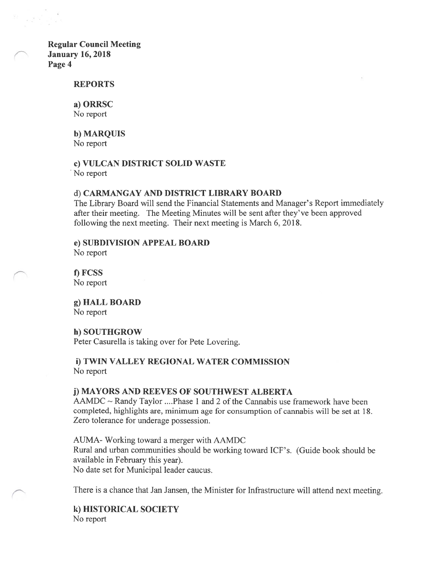#### REPORTS

### a) ORRSC

No report

b) MARQUIS No report

### c) VULCAN DISTRICT SOLID WASTE No report

#### d) CARMANGAY AND DISTRICT LIBRARY BOARD

The Library Board will send the Financial Statements and Manager's Report immediately after their meeting. The Meeting Minutes will be sent after they've been approved following the next meeting. Their next meeting is March 6, 2018.

e) SUBDIVISION APPEAL BOARD

No report

f) FCSS No report

g) HALL BOARD No report

#### h) SOUTHGROW

Peter Casurella is taking over for Pete Lovering.

### 1) TWIN VALLEY REGIONAL WATER COMMISSION No report

### j) MAYORS AND REEVES OF SOUTHWEST ALBERTA

 $AAMDC \sim$  Randy Taylor .... Phase 1 and 2 of the Cannabis use framework have been completed, highlights are, minimum age for consumption of cannabis will be set at 18. Zero tolerance for underage possession.

AUMA- Working toward a merger with AAMDC Rural and urban communities should be working toward TCF's. (Guide book should be available in February this year). No date set for Municipal leader caucus.

There is a chance that Jan Jansen, the Minister for Infrastructure will attend next meeting.

k) HISTORICAL SOCIETY No report